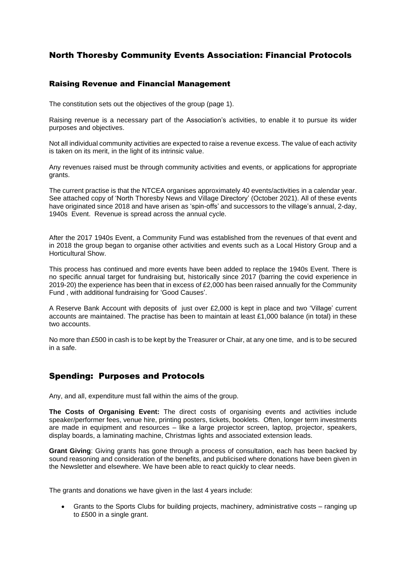## North Thoresby Community Events Association: Financial Protocols

### Raising Revenue and Financial Management

The constitution sets out the objectives of the group (page 1).

Raising revenue is a necessary part of the Association's activities, to enable it to pursue its wider purposes and objectives.

Not all individual community activities are expected to raise a revenue excess. The value of each activity is taken on its merit, in the light of its intrinsic value.

Any revenues raised must be through community activities and events, or applications for appropriate grants.

The current practise is that the NTCEA organises approximately 40 events/activities in a calendar year. See attached copy of 'North Thoresby News and Village Directory' (October 2021). All of these events have originated since 2018 and have arisen as 'spin-offs' and successors to the village's annual, 2-day, 1940s Event. Revenue is spread across the annual cycle.

After the 2017 1940s Event, a Community Fund was established from the revenues of that event and in 2018 the group began to organise other activities and events such as a Local History Group and a Horticultural Show.

This process has continued and more events have been added to replace the 1940s Event. There is no specific annual target for fundraising but, historically since 2017 (barring the covid experience in 2019-20) the experience has been that in excess of £2,000 has been raised annually for the Community Fund , with additional fundraising for 'Good Causes'.

A Reserve Bank Account with deposits of just over £2,000 is kept in place and two 'Village' current accounts are maintained. The practise has been to maintain at least £1,000 balance (in total) in these two accounts.

No more than £500 in cash is to be kept by the Treasurer or Chair, at any one time, and is to be secured in a safe.

### Spending: Purposes and Protocols

Any, and all, expenditure must fall within the aims of the group.

**The Costs of Organising Event:** The direct costs of organising events and activities include speaker/performer fees, venue hire, printing posters, tickets, booklets. Often, longer term investments are made in equipment and resources – like a large projector screen, laptop, projector, speakers, display boards, a laminating machine, Christmas lights and associated extension leads.

**Grant Giving**: Giving grants has gone through a process of consultation, each has been backed by sound reasoning and consideration of the benefits, and publicised where donations have been given in the Newsletter and elsewhere. We have been able to react quickly to clear needs.

The grants and donations we have given in the last 4 years include:

• Grants to the Sports Clubs for building projects, machinery, administrative costs – ranging up to £500 in a single grant.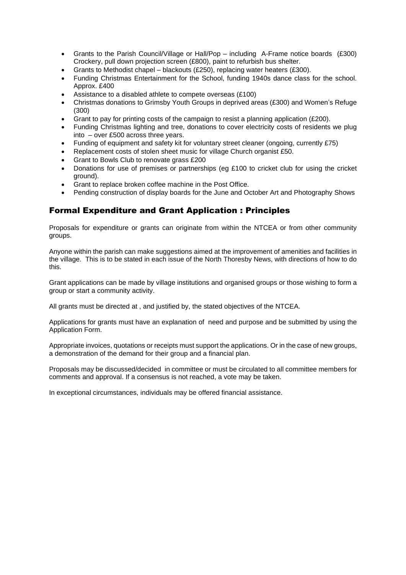- Grants to the Parish Council/Village or Hall/Pop including A-Frame notice boards (£300) Crockery, pull down projection screen (£800), paint to refurbish bus shelter.
- Grants to Methodist chapel blackouts (£250), replacing water heaters (£300).
- Funding Christmas Entertainment for the School, funding 1940s dance class for the school. Approx. £400
- Assistance to a disabled athlete to compete overseas (£100)
- Christmas donations to Grimsby Youth Groups in deprived areas (£300) and Women's Refuge (300)
- Grant to pay for printing costs of the campaign to resist a planning application (£200).
- Funding Christmas lighting and tree, donations to cover electricity costs of residents we plug into – over £500 across three years.
- Funding of equipment and safety kit for voluntary street cleaner (ongoing, currently £75)
- Replacement costs of stolen sheet music for village Church organist £50.
- Grant to Bowls Club to renovate grass £200
- Donations for use of premises or partnerships (eg £100 to cricket club for using the cricket ground).
- Grant to replace broken coffee machine in the Post Office.
- Pending construction of display boards for the June and October Art and Photography Shows

### Formal Expenditure and Grant Application : Principles

Proposals for expenditure or grants can originate from within the NTCEA or from other community groups.

Anyone within the parish can make suggestions aimed at the improvement of amenities and facilities in the village. This is to be stated in each issue of the North Thoresby News, with directions of how to do this.

Grant applications can be made by village institutions and organised groups or those wishing to form a group or start a community activity.

All grants must be directed at , and justified by, the stated objectives of the NTCEA.

Applications for grants must have an explanation of need and purpose and be submitted by using the Application Form.

Appropriate invoices, quotations or receipts must support the applications. Or in the case of new groups, a demonstration of the demand for their group and a financial plan.

Proposals may be discussed/decided in committee or must be circulated to all committee members for comments and approval. If a consensus is not reached, a vote may be taken.

In exceptional circumstances, individuals may be offered financial assistance.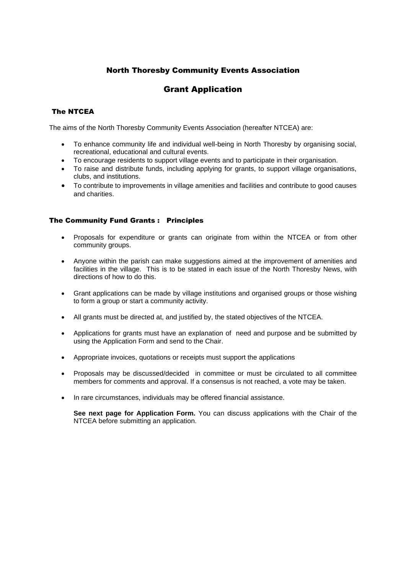## North Thoresby Community Events Association

# Grant Application

### The NTCEA

The aims of the North Thoresby Community Events Association (hereafter NTCEA) are:

- To enhance community life and individual well-being in North Thoresby by organising social, recreational, educational and cultural events.
- To encourage residents to support village events and to participate in their organisation.
- To raise and distribute funds, including applying for grants, to support village organisations, clubs, and institutions.
- To contribute to improvements in village amenities and facilities and contribute to good causes and charities.

### The Community Fund Grants : Principles

- Proposals for expenditure or grants can originate from within the NTCEA or from other community groups.
- Anyone within the parish can make suggestions aimed at the improvement of amenities and facilities in the village. This is to be stated in each issue of the North Thoresby News, with directions of how to do this.
- Grant applications can be made by village institutions and organised groups or those wishing to form a group or start a community activity.
- All grants must be directed at, and justified by, the stated objectives of the NTCEA.
- Applications for grants must have an explanation of need and purpose and be submitted by using the Application Form and send to the Chair.
- Appropriate invoices, quotations or receipts must support the applications
- Proposals may be discussed/decided in committee or must be circulated to all committee members for comments and approval. If a consensus is not reached, a vote may be taken.
- In rare circumstances, individuals may be offered financial assistance.

**See next page for Application Form.** You can discuss applications with the Chair of the NTCEA before submitting an application.